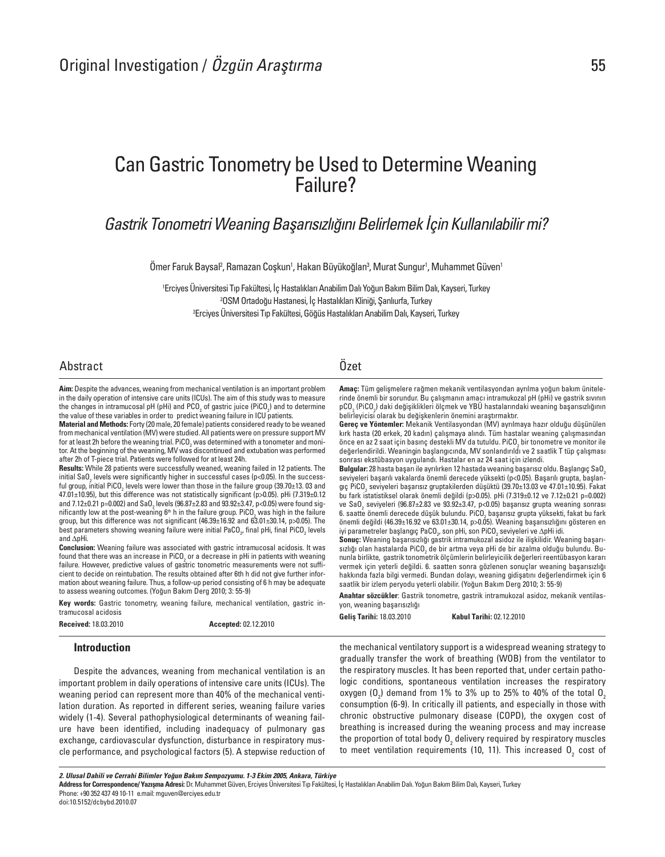# Can Gastric Tonometry be Used to Determine Weaning Failure?

## Gastrik Tonometri Weaning Başarısızlığını Belirlemek İçin Kullanılabilir mi?

Omer Faruk Baysal<sup>z</sup>, Ramazan Coşkun', Hakan Büyükoğlan<sup>3</sup>, Murat Sungur<sup>ı</sup>, Muhammet Güven'

1 Erciyes Üniversitesi Tıp Fakültesi, İç Hastalıkları Anabilim Dalı Yoğun Bakım Bilim Dalı, Kayseri, Turkey 2 OSM Ortadoğu Hastanesi, İç Hastalıkları Kliniği, Şanlıurfa, Turkey 3 Erciyes Üniversitesi Tıp Fakültesi, Göğüs Hastalıkları Anabilim Dalı, Kayseri, Turkey

### Abstract Özet

Aim: Despite the advances, weaning from mechanical ventilation is an important problem in the daily operation of intensive care units (ICUs). The aim of this study was to measure the changes in intramucosal pH (pHi) and  $PCO<sub>2</sub>$  of gastric juice (PiCO<sub>2</sub>) and to determine the value of these variables in order to predict weaning failure in ICU patients.

Material and Methods: Forty (20 male, 20 female) patients considered ready to be weaned from mechanical ventilation (MV) were studied. All patients were on pressure support MV for at least 2h before the weaning trial. PiCO<sub>2</sub> was determined with a tonometer and monitor. At the beginning of the weaning, MV was discontinued and extubation was performed after 2h of T-piece trial. Patients were followed for at least 24h.

Results: While 28 patients were successfully weaned, weaning failed in 12 patients. The initial SaO<sub>2</sub> levels were significantly higher in successful cases (p<0.05). In the successful group, initial PiCO<sub>2</sub> levels were lower than those in the failure group (39.70±13. 03 and<br>The second literature of the second literature of the second literature of the second second the second second 47.01±10.95), but this difference was not statistically significant (p>0.05). pHi (7.319±0.12 and 7.12±0.21 p=0.002) and SaO<sub>2</sub> levels (96.87±2.83 and 93.92±3.47, p<0.05) were found significantly low at the post-weaning  $6<sup>th</sup>$  h in the failure group. PiCO<sub>2</sub> was high in the failure group, but this difference was not significant (46.39±16.92 and 63.01±30.14, p>0.05). The best parameters showing weaning failure were initial PaCO<sub>2</sub>, final pHi, final PiCO<sub>2</sub> levels and ΔpHi.

Conclusion: Weaning failure was associated with gastric intramucosal acidosis. It was found that there was an increase in PiCO<sub>2</sub> or a decrease in pHi in patients with weaning failure. However, predictive values of gastric tonometric measurements were not sufficient to decide on reintubation. The results obtained after 6th h did not give further information about weaning failure. Thus, a follow-up period consisting of 6 h may be adequate to assess weaning outcomes. (Yoğun Bakım Derg 2010; 3: 55-9)

Key words: Gastric tonometry, weaning failure, mechanical ventilation, gastric intramucosal acidosis

**Received: 18.03.2010 Accepted: 02.12.2010** 

#### Introduction

Despite the advances, weaning from mechanical ventilation is an important problem in daily operations of intensive care units (ICUs). The weaning period can represent more than 40% of the mechanical ventilation duration. As reported in different series, weaning failure varies widely (1-4). Several pathophysiological determinants of weaning failure have been identified, including inadequacy of pulmonary gas exchange, cardiovascular dysfunction, disturbance in respiratory muscle performance, and psychological factors (5). A stepwise reduction of

Amaç: Tüm gelişmelere rağmen mekanik ventilasyondan ayrılma yoğun bakım ünitelerinde önemli bir sorundur. Bu çalışmanın amacı intramukozal pH (pHi) ve gastrik sıvının pCO<sub>2</sub> (PiCO<sub>2</sub>) daki değişiklikleri ölçmek ve YBU hastalarındaki weaning başarısızlığının belirleyicisi olarak bu değişkenlerin önemini araştırmaktır.

Gereç ve Yöntemler: Mekanik Ventilasyondan (MV) ayrılmaya hazır olduğu düşünülen kırk hasta (20 erkek, 20 kadın) çalışmaya alındı. Tüm hastalar weaning çalışmasından önce en az 2 saat için basınç destekli MV da tutuldu. PiCO<sub>2</sub> bir tonometre ve monitor ile değerlendirildi. Weaningin başlangıcında, MV sonlandırıldı ve 2 saatlik T tüp çalışması sonrası ekstübasyon uygulandı. Hastalar en az 24 saat için izlendi.

Bulgular: 28 hasta başarı ile ayrılırken 12 hastada weaning başarısız oldu. Başlangıç SaO<sub>2</sub> seviyeleri başarılı vakalarda önemli derecede yüksekti (p<0.05). Başarılı grupta, başlangıç PiCO<sub>2</sub> seviyeleri başarısız gruptakilerden düşüktü (39.70±13.03 ve 47.01±10.95). Fakat bu fark istatistiksel olarak önemli değildi (p>0.05). pHi (7.319±0.12 ve 7.12±0.21 p=0.002) ve SaO<sub>2</sub> seviyeleri (96.87±2.83 ve 93.92±3.47, p<0.05) başarısız grupta weaning sonrası 6. saatte önemli derecede düşük bulundu. PiCO<sub>2</sub> başarısız grupta yüksekti, fakat bu fark önemli değildi (46.39±16.92 ve 63.01±30.14, p>0.05). Weaning başarısızlığını gösteren en iyi parametreler başlangıç PaCO<sub>2</sub>, son pHi, son PiCO<sub>2</sub> seviyeleri ve  $\Delta$ pHi idi.

Sonuç: Weaning başarısızlığı gastrik intramukozal asidoz ile ilişkilidir. Weaning başarısızlığı olan hastalarda PiCO<sub>2</sub> de bir artma veya pHi de bir azalma olduğu bulundu. Bununla birlikte, gastrik tonometrik ölçümlerin belirleyicilik değerleri reentübasyon kararı vermek için yeterli değildi. 6. saatten sonra gözlenen sonuçlar weaning başarısızlığı hakkında fazla bilgi vermedi. Bundan dolayı, weaning gidişatını değerlendirmek için 6 saatlik bir izlem peryodu yeterli olabilir. (Yoğun Bakım Derg 2010; 3: 55-9)

Anahtar sözcükler: Gastrik tonometre, gastrik intramukozal asidoz, mekanik ventilasyon, weaning başarısızlığı

Geliş Tarihi: 18.03.2010 Kabul Tarihi: 02.12.2010

the mechanical ventilatory support is a widespread weaning strategy to gradually transfer the work of breathing (WOB) from the ventilator to the respiratory muscles. It has been reported that, under certain pathologic conditions, spontaneous ventilation increases the respiratory oxygen (O<sub>2</sub>) demand from 1% to 3% up to 25% to 40% of the total O<sub>2</sub> consumption (6-9). In critically ill patients, and especially in those with chronic obstructive pulmonary disease (COPD), the oxygen cost of breathing is increased during the weaning process and may increase the proportion of total body  $0_{_2}$  delivery required by respiratory muscles to meet ventilation requirements (10, 11). This increased  ${\tt 0}_{{_2}}$  cost of

2. Ulusal Dahili ve Cerrahi Bilimler Yoğun Bakım Sempozyumu. 1-3 Ekim 2005, Ankara, Türkiye

Address for Correspondence/ Yazışma Adresi: Dr. Muhammet Güven, Erciyes Üniversitesi Tıp Fakültesi, İç Hastalıkları Anabilim Dalı. Yoğun Bakım Bilim Dalı, Kayseri, Turkey Phone: +90 352 437 49 10-11 e.mail: mguven@erciyes.edu.tr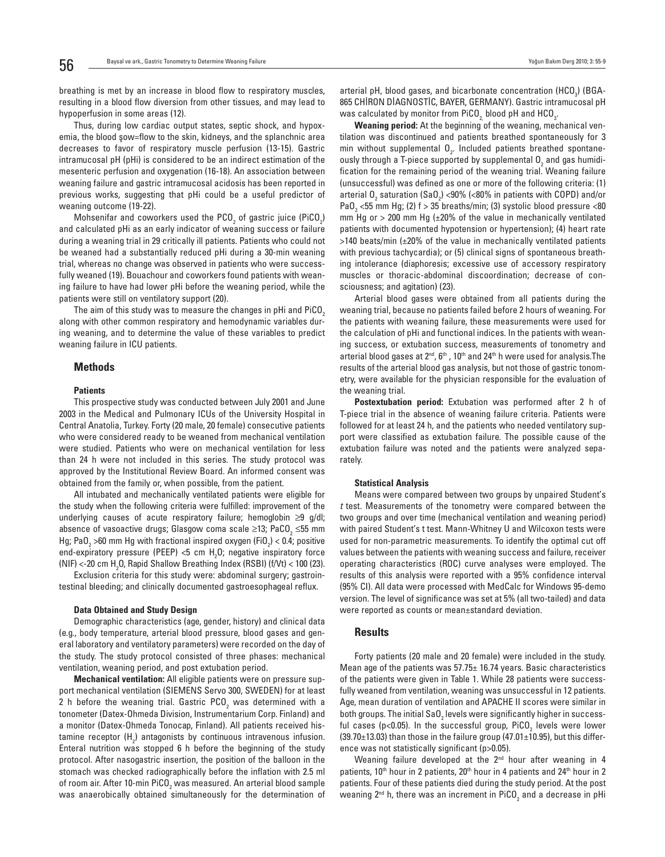breathing is met by an increase in blood flow to respiratory muscles, resulting in a blood flow diversion from other tissues, and may lead to hypoperfusion in some areas (12).

Thus, during low cardiac output states, septic shock, and hypoxemia, the blood şow=flow to the skin, kidneys, and the splanchnic area decreases to favor of respiratory muscle perfusion (13-15). Gastric intramucosal pH (pHi) is considered to be an indirect estimation of the mesenteric perfusion and oxygenation (16-18). An association between weaning failure and gastric intramucosal acidosis has been reported in previous works, suggesting that pHi could be a useful predictor of weaning outcome (19-22).

Mohsenifar and coworkers used the  $PCO<sub>2</sub>$  of gastric juice (PiCO<sub>2</sub>) and calculated pHi as an early indicator of weaning success or failure during a weaning trial in 29 critically ill patients. Patients who could not be weaned had a substantially reduced pHi during a 30-min weaning trial, whereas no change was observed in patients who were successfully weaned (19). Bouachour and coworkers found patients with weaning failure to have had lower pHi before the weaning period, while the patients were still on ventilatory support (20).

The aim of this study was to measure the changes in pHi and PiCO<sub>2</sub> along with other common respiratory and hemodynamic variables during weaning, and to determine the value of these variables to predict weaning failure in ICU patients.

#### Methods

#### **Patients**

This prospective study was conducted between July 2001 and June 2003 in the Medical and Pulmonary ICUs of the University Hospital in Central Anatolia, Turkey. Forty (20 male, 20 female) consecutive patients who were considered ready to be weaned from mechanical ventilation were studied. Patients who were on mechanical ventilation for less than 24 h were not included in this series. The study protocol was approved by the Institutional Review Board. An informed consent was obtained from the family or, when possible, from the patient.

All intubated and mechanically ventilated patients were eligible for the study when the following criteria were fulfilled: improvement of the underlying causes of acute respiratory failure; hemoglobin ≥9 g/dl; absence of vasoactive drugs; Glasgow coma scale ≥13; PaCO<sub>2</sub> ≤55 mm Hg; PaO<sub>2</sub> >60 mm Hg with fractional inspired oxygen (FiO<sub>2</sub>) < 0.4; positive end-expiratory pressure (PEEP) <5 cm  $H_2O$ ; negative inspiratory force (NIF) <-20 cm H<sub>2</sub>O, Rapid Shallow Breathing Index (RSBI) (f/Vt) < 100 (23).

Exclusion criteria for this study were: abdominal surgery; gastrointestinal bleeding; and clinically documented gastroesophageal reflux.

#### Data Obtained and Study Design

Demographic characteristics (age, gender, history) and clinical data (e.g., body temperature, arterial blood pressure, blood gases and general laboratory and ventilatory parameters) were recorded on the day of the study. The study protocol consisted of three phases: mechanical ventilation, weaning period, and post extubation period.

Mechanical ventilation: All eligible patients were on pressure support mechanical ventilation (SIEMENS Servo 300, SWEDEN) for at least 2 h before the weaning trial. Gastric PCO<sub>2</sub> was determined with a tonometer (Datex-Ohmeda Division, Instrumentarium Corp. Finland) and a monitor (Datex-Ohmeda Tonocap, Finland). All patients received histamine receptor (H<sub>2</sub>) antagonists by continuous intravenous infusion. Enteral nutrition was stopped 6 h before the beginning of the study protocol. After nasogastric insertion, the position of the balloon in the stomach was checked radiographically before the inflation with 2.5 ml of room air. After 10-min PiCO $_{_2}$  was measured. An arterial blood sample was anaerobically obtained simultaneously for the determination of

arterial pH, blood gases, and bicarbonate concentration (HCO<sub>3</sub>) (BGA-865 CHİRON DİAGNOSTİC, BAYER, GERMANY). Gastric intramucosal pH was calculated by monitor from PiCO<sub>2</sub>, blood pH and HCO<sub>3</sub>.

Weaning period: At the beginning of the weaning, mechanical ventilation was discontinued and patients breathed spontaneously for 3 min without supplemental  $0<sub>2</sub>$ . Included patients breathed spontaneously through a T-piece supported by supplemental  $0<sub>2</sub>$  and gas humidification for the remaining period of the weaning trial. Weaning failure (unsuccessful) was defined as one or more of the following criteria: (1) arterial  $0<sub>2</sub>$  saturation (Sa $0<sub>2</sub>$ ) <90% (<80% in patients with COPD) and/or PaO<sub>2</sub> <55 mm Hg; (2) f > 35 breaths/min; (3) systolic blood pressure <80 mm Hg or  $>$  200 mm Hg ( $\pm$ 20% of the value in mechanically ventilated patients with documented hypotension or hypertension); (4) heart rate  $>140$  beats/min ( $\pm 20\%$  of the value in mechanically ventilated patients with previous tachycardia); or (5) clinical signs of spontaneous breathing intolerance (diaphoresis; excessive use of accessory respiratory muscles or thoracic-abdominal discoordination; decrease of consciousness; and agitation) (23).

Arterial blood gases were obtained from all patients during the weaning trial, because no patients failed before 2 hours of weaning. For the patients with weaning failure, these measurements were used for the calculation of pHi and functional indices. In the patients with weaning success, or extubation success, measurements of tonometry and arterial blood gases at  $2^{nd}$ ,  $6^{th}$ ,  $10^{th}$  and  $24^{th}$  h were used for analysis. The results of the arterial blood gas analysis, but not those of gastric tonometry, were available for the physician responsible for the evaluation of the weaning trial.

Postextubation period: Extubation was performed after 2 h of T-piece trial in the absence of weaning failure criteria. Patients were followed for at least 24 h, and the patients who needed ventilatory support were classified as extubation failure. The possible cause of the extubation failure was noted and the patients were analyzed separately.

#### Statistical Analysis

Means were compared between two groups by unpaired Student's t test. Measurements of the tonometry were compared between the two groups and over time (mechanical ventilation and weaning period) with paired Student's t test. Mann-Whitney U and Wilcoxon tests were used for non-parametric measurements. To identify the optimal cut off values between the patients with weaning success and failure, receiver operating characteristics (ROC) curve analyses were employed. The results of this analysis were reported with a 95% confidence interval (95% CI). All data were processed with MedCalc for Windows 95-demo version. The level of significance was set at 5% (all two-tailed) and data were reported as counts or mean±standard deviation.

#### Results

Forty patients (20 male and 20 female) were included in the study. Mean age of the patients was 57.75± 16.74 years. Basic characteristics of the patients were given in Table 1. While 28 patients were successfully weaned from ventilation, weaning was unsuccessful in 12 patients. Age, mean duration of ventilation and APACHE II scores were similar in both groups. The initial SaO $_2$  levels were significantly higher in successful cases (p<0.05). In the successful group, PiCO $_{\textrm{\tiny{2}}}$  levels were lower  $(39.70\pm13.03)$  than those in the failure group  $(47.01\pm10.95)$ , but this difference was not statistically significant (p>0.05).

Weaning failure developed at the 2<sup>nd</sup> hour after weaning in 4 patients,  $10<sup>th</sup>$  hour in 2 patients,  $20<sup>th</sup>$  hour in 4 patients and  $24<sup>th</sup>$  hour in 2 patients. Four of these patients died during the study period. At the post weaning 2 $^{\rm nd}$  h, there was an increment in PiCO $_2$  and a decrease in pHi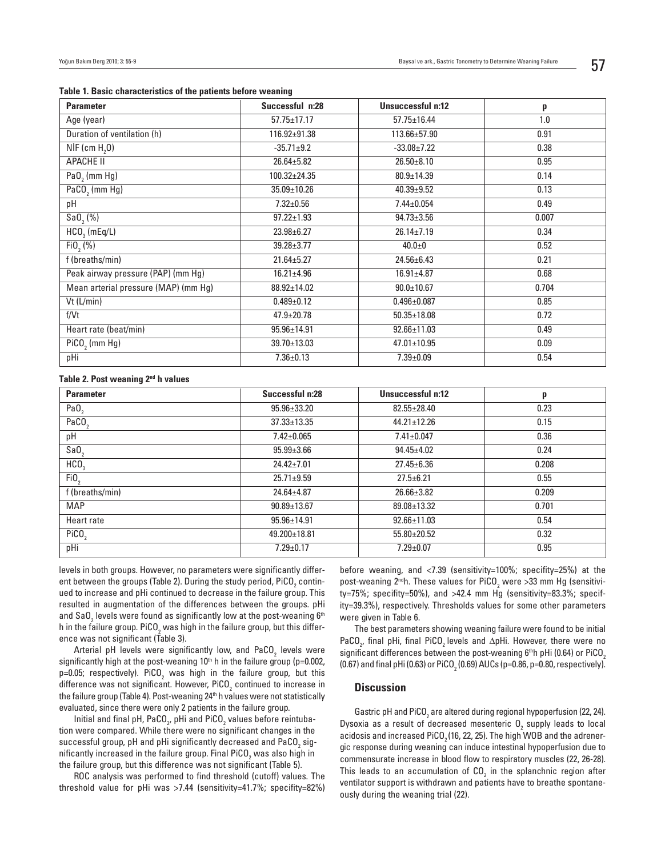| <b>Parameter</b>                     | Successful n:28    | Unsuccessful n:12 | p     |
|--------------------------------------|--------------------|-------------------|-------|
| Age (year)                           | $57.75 \pm 17.17$  | $57.75 \pm 16.44$ | 1.0   |
| Duration of ventilation (h)          | 116.92±91.38       | 113.66±57.90      | 0.91  |
| $NIF$ (cm $H2O$ )                    | $-35.71 \pm 9.2$   | $-33.08 \pm 7.22$ | 0.38  |
| APACHE II                            | $26.64 \pm 5.82$   | $26.50 \pm 8.10$  | 0.95  |
| PaO <sub>2</sub> (mm Hg)             | $100.32 \pm 24.35$ | $80.9 \pm 14.39$  | 0.14  |
| PaCO <sub>2</sub> (mm Hg)            | $35.09 \pm 10.26$  | $40.39 + 9.52$    | 0.13  |
| pН                                   | $7.32 \pm 0.56$    | $7.44 \pm 0.054$  | 0.49  |
| Sa0, (%)                             | $97.22 \pm 1.93$   | $94.73 \pm 3.56$  | 0.007 |
| $HCO3$ (mEq/L)                       | $23.98 \pm 6.27$   | $26.14 \pm 7.19$  | 0.34  |
| Fi0, (%)                             | $39.28 \pm 3.77$   | $40.0 + 0$        | 0.52  |
| f (breaths/min)                      | $21.64 \pm 5.27$   | $24.56 \pm 6.43$  | 0.21  |
| Peak airway pressure (PAP) (mm Hg)   | $16.21 \pm 4.96$   | $16.91 \pm 4.87$  | 0.68  |
| Mean arterial pressure (MAP) (mm Hg) | 88.92±14.02        | $90.0 \pm 10.67$  | 0.704 |
| $Vt$ (L/min)                         | $0.489 \pm 0.12$   | $0.496 \pm 0.087$ | 0.85  |
| f/Vt                                 | $47.9 \pm 20.78$   | $50.35 \pm 18.08$ | 0.72  |
| Heart rate (beat/min)                | $95.96 \pm 14.91$  | $92.66 \pm 11.03$ | 0.49  |
| $PiCO$ <sub>2</sub> (mm Hg)          | $39.70 \pm 13.03$  | $47.01 \pm 10.95$ | 0.09  |
| pHi                                  | $7.36 \pm 0.13$    | $7.39 \pm 0.09$   | 0.54  |

#### Table 1. Basic characteristics of the patients before weaning

#### Table 2. Post weaning 2<sup>nd</sup> h values

| <b>Parameter</b>  | Successful n:28   | Unsuccessful n:12 | p     |  |
|-------------------|-------------------|-------------------|-------|--|
| PaO <sub>2</sub>  | $95.96 \pm 33.20$ | $82.55 \pm 28.40$ | 0.23  |  |
| PaCO <sub>2</sub> | $37.33 \pm 13.35$ | $44.21 \pm 12.26$ | 0.15  |  |
| pH                | $7.42 \pm 0.065$  | $7.41 \pm 0.047$  | 0.36  |  |
| SaO <sub>2</sub>  | $95.99 \pm 3.66$  | $94.45 \pm 4.02$  | 0.24  |  |
| HCO <sub>3</sub>  | $24.42 \pm 7.01$  | $27.45 \pm 6.36$  | 0.208 |  |
| FiO <sub>2</sub>  | $25.71 \pm 9.59$  | $27.5 \pm 6.21$   | 0.55  |  |
| f (breaths/min)   | $24.64 \pm 4.87$  | $26.66 \pm 3.82$  | 0.209 |  |
| <b>MAP</b>        | $90.89 \pm 13.67$ | 89.08±13.32       | 0.701 |  |
| Heart rate        | $95.96 \pm 14.91$ | $92.66 \pm 11.03$ | 0.54  |  |
| PiCO <sub>2</sub> | 49.200±18.81      | $55.80 \pm 20.52$ | 0.32  |  |
| pHi               | $7.29 \pm 0.17$   | $7.29 \pm 0.07$   | 0.95  |  |

levels in both groups. However, no parameters were significantly different between the groups (Table 2). During the study period, PiCO $_{\textrm{\tiny{2}}}$  continued to increase and pHi continued to decrease in the failure group. This resulted in augmentation of the differences between the groups. pHi and SaO $_2$  levels were found as significantly low at the post-weaning  $\boldsymbol{6}^{\text{th}}$ h in the failure group. PiCO<sub>2</sub> was high in the failure group, but this difference was not significant (Table 3).

Arterial pH levels were significantly low, and PaCO $_{_2}$  levels were significantly high at the post-weaning  $10<sup>th</sup>$  h in the failure group (p=0.002, p=0.05; respectively). PiCO<sub>2</sub> was high in the failure group, but this difference was not significant. However, PiCO $_{\textrm{\tiny{2}}}$  continued to increase in the failure group (Table 4). Post-weaning 24<sup>th</sup> h values were not statistically evaluated, since there were only 2 patients in the failure group.

Initial and final pH, PaCO<sub>2</sub>, pHi and PiCO<sub>2</sub> values before reintubation were compared. While there were no significant changes in the successful group, pH and pHi significantly decreased and PaCO $_{_2}$  significantly increased in the failure group. Final PiCO $_{_2}$  was also high in the failure group, but this difference was not significant (Table 5).

ROC analysis was performed to find threshold (cutoff) values. The threshold value for pHi was >7.44 (sensitivity=41.7%; specifity=82%) before weaning, and <7.39 (sensitivity=100%; specifity=25%) at the post-weaning 2<sup>nd</sup>h. These values for PiCO<sub>2</sub> were >33 mm Hg (sensitivity=75%; specifity=50%), and >42.4 mm Hg (sensitivity=83.3%; specifity=39.3%), respectively. Thresholds values for some other parameters were given in Table 6.

The best parameters showing weaning failure were found to be initial PaCO $_{\rm 2^{\prime}}$  final pHi, final PiCO $_{\rm 2}$  levels and  $\Delta$ pHi. However, there were no significant differences between the post-weaning  $6<sup>th</sup>$ h pHi (0.64) or PiCO<sub>2</sub> (0.67) and final pHi (0.63) or PiCO $_{\rm 2}$  (0.69) AUCs (p=0.86, p=0.80, respectively).

#### **Discussion**

Gastric pH and PiCO $_2$  are altered during regional hypoperfusion (22, 24). Dysoxia as a result of decreased mesenteric  $\mathsf{O}_2$  supply leads to local acidosis and increased PiCO<sub>2</sub> (16, 22, 25). The high WOB and the adrenergic response during weaning can induce intestinal hypoperfusion due to commensurate increase in blood flow to respiratory muscles (22, 26-28). This leads to an accumulation of CO<sub>2</sub> in the splanchnic region after ventilator support is withdrawn and patients have to breathe spontaneously during the weaning trial (22).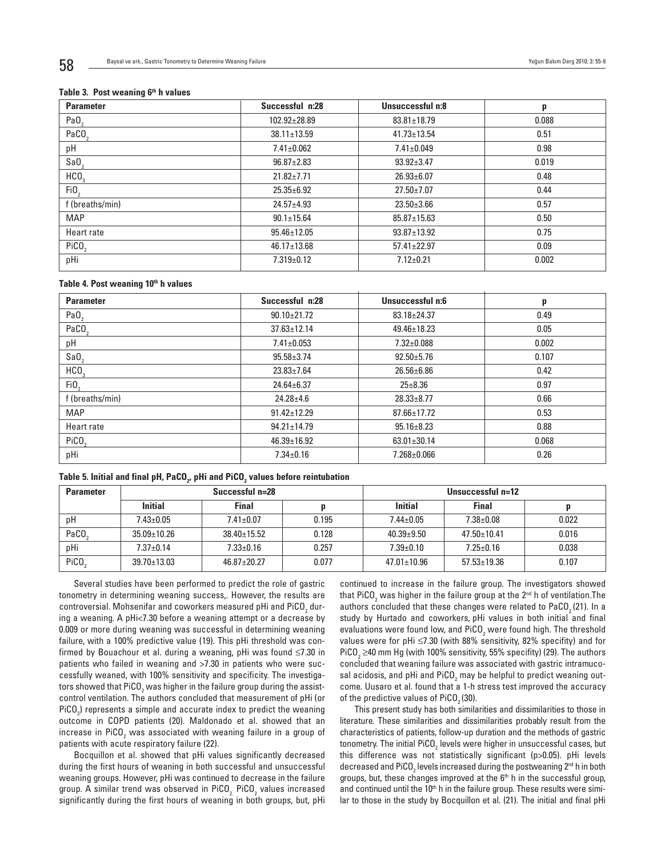#### Table 3. Post weaning  $6<sup>th</sup>$  h values

| <b>Parameter</b>  | Successful n:28   | Unsuccessful n:8  | p     |
|-------------------|-------------------|-------------------|-------|
| PaO <sub>2</sub>  | 102.92±28.89      | $83.81 \pm 18.79$ | 0.088 |
| PaCO <sub>3</sub> | $38.11 \pm 13.59$ | $41.73 \pm 13.54$ | 0.51  |
| pH                | $7.41 \pm 0.062$  | $7.41 \pm 0.049$  | 0.98  |
| SaO               | $96.87 \pm 2.83$  | $93.92 \pm 3.47$  | 0.019 |
| HCO <sub>3</sub>  | $21.82 \pm 7.71$  | $26.93 \pm 6.07$  | 0.48  |
| FiO <sub>2</sub>  | $25.35 \pm 6.92$  | $27.50 \pm 7.07$  | 0.44  |
| f (breaths/min)   | $24.57 + 4.93$    | $23.50 \pm 3.66$  | 0.57  |
| <b>MAP</b>        | $90.1 \pm 15.64$  | $85.87 \pm 15.63$ | 0.50  |
| Heart rate        | $95.46 \pm 12.05$ | $93.87 \pm 13.92$ | 0.75  |
| PiCO <sub>2</sub> | $46.17 \pm 13.68$ | $57.41 \pm 22.97$ | 0.09  |
| pHi               | $7.319 \pm 0.12$  | $7.12 \pm 0.21$   | 0.002 |

#### Table 4. Post weaning 10<sup>th</sup> h values

| <b>Parameter</b>  | Successful n:28   | Unsuccessful n:6  | p     |
|-------------------|-------------------|-------------------|-------|
| PaO <sub>2</sub>  | $90.10 \pm 21.72$ | $83.18 \pm 24.37$ | 0.49  |
| PaCO <sub>2</sub> | $37.63 \pm 12.14$ | $49.46 \pm 18.23$ | 0.05  |
| pH                | $7.41 \pm 0.053$  | $7.32 \pm 0.088$  | 0.002 |
| SaO               | $95.58 \pm 3.74$  | $92.50 + 5.76$    | 0.107 |
| HCO <sub>3</sub>  | $23.83 \pm 7.64$  | $26.56 \pm 6.86$  | 0.42  |
| FiO <sub>2</sub>  | $24.64 \pm 6.37$  | $25 \pm 8.36$     | 0.97  |
| f (breaths/min)   | $24.28 \pm 4.6$   | $28.33 \pm 8.77$  | 0.66  |
| <b>MAP</b>        | $91.42 \pm 12.29$ | $87.66 \pm 17.72$ | 0.53  |
| Heart rate        | $94.21 \pm 14.79$ | $95.16 \pm 8.23$  | 0.88  |
| PiCO <sub>2</sub> | $46.39 \pm 16.92$ | $63.01 \pm 30.14$ | 0.068 |
| pHi               | $7.34 \pm 0.16$   | 7.268±0.066       | 0.26  |

#### Table 5. Initial and final pH, PaCO $_{\rm z}$ , pHi and PiCO $_{\rm z}$  values before reintubation

| <b>Parameter</b>  | Successful n=28   |                   |       | Unsuccessful n=12 |                   |       |
|-------------------|-------------------|-------------------|-------|-------------------|-------------------|-------|
|                   | <b>Initial</b>    | <b>Final</b>      | D     | <b>Initial</b>    | <b>Final</b>      |       |
| pH                | $7.43 \pm 0.05$   | $7.41 \pm 0.07$   | 0.195 | $7.44 \pm 0.05$   | $7.38 \pm 0.08$   | 0.022 |
| PaCO              | $35.09 \pm 10.26$ | $38.40 \pm 15.52$ | 0.128 | $40.39 + 9.50$    | $47.50 \pm 10.41$ | 0.016 |
| pHi               | $7.37 + 0.14$     | $7.33 \pm 0.16$   | 0.257 | $7.39 \pm 0.10$   | $7.25 \pm 0.16$   | 0.038 |
| PiCO <sub>2</sub> | $39.70 \pm 13.03$ | $46.87 \pm 20.27$ | 0.077 | $47.01 \pm 10.96$ | $57.53 \pm 19.36$ | 0.107 |

Several studies have been performed to predict the role of gastric tonometry in determining weaning success,. However, the results are controversial. Mohsenifar and coworkers measured pHi and PiCO<sub>2</sub> during a weaning. A pHi<7.30 before a weaning attempt or a decrease by 0.009 or more during weaning was successful in determining weaning failure, with a 100% predictive value (19). This pHi threshold was confirmed by Bouachour et al. during a weaning, pHi was found ≤7.30 in patients who failed in weaning and >7.30 in patients who were successfully weaned, with 100% sensitivity and specificity. The investigators showed that PiCO $_{_2}$  was higher in the failure group during the assistcontrol ventilation. The authors concluded that measurement of pHi (or PiCO<sub>2</sub>) represents a simple and accurate index to predict the weaning outcome in COPD patients (20). Maldonado et al. showed that an increase in PiCO $_{_2}$  was associated with weaning failure in a group of patients with acute respiratory failure (22).

Bocquillon et al. showed that pHi values significantly decreased during the first hours of weaning in both successful and unsuccessful weaning groups. However, pHi was continued to decrease in the failure group. A similar trend was observed in PiCO $_{\rm_2}$  PiCO $_{\rm_2}$  values increased significantly during the first hours of weaning in both groups, but, pHi

continued to increase in the failure group. The investigators showed that PiCO<sub>2</sub> was higher in the failure group at the 2nd h of ventilation.The authors concluded that these changes were related to  $PaCO<sub>2</sub>(21)$ . In a study by Hurtado and coworkers, pHi values in both initial and final evaluations were found low, and PiCO $_2$  were found high. The threshold values were for pHi  $\leq$ 7.30 (with 88% sensitivity, 82% specifity) and for PiCO $_{\tiny 2}$   $\geq$ 40 mm Hg (with 100% sensitivity, 55% specifity) (29). The authors concluded that weaning failure was associated with gastric intramucosal acidosis, and pHi and PiCO $_{\rm 2}$  may be helpful to predict weaning outcome. Uusaro et al. found that a 1-h stress test improved the accuracy of the predictive values of  $PiCO<sub>2</sub> (30)$ .

This present study has both similarities and dissimilarities to those in literature. These similarities and dissimilarities probably result from the characteristics of patients, follow-up duration and the methods of gastric tonometry. The initial PiCO<sub>2</sub> levels were higher in unsuccessful cases, but this difference was not statistically significant (p>0.05). pHi levels decreased and PiCO $_2$  levels increased during the postweaning 2nd h in both groups, but, these changes improved at the  $6<sup>th</sup>$  h in the successful group, and continued until the 10<sup>th</sup> h in the failure group. These results were similar to those in the study by Bocquillon et al. (21). The initial and final pHi